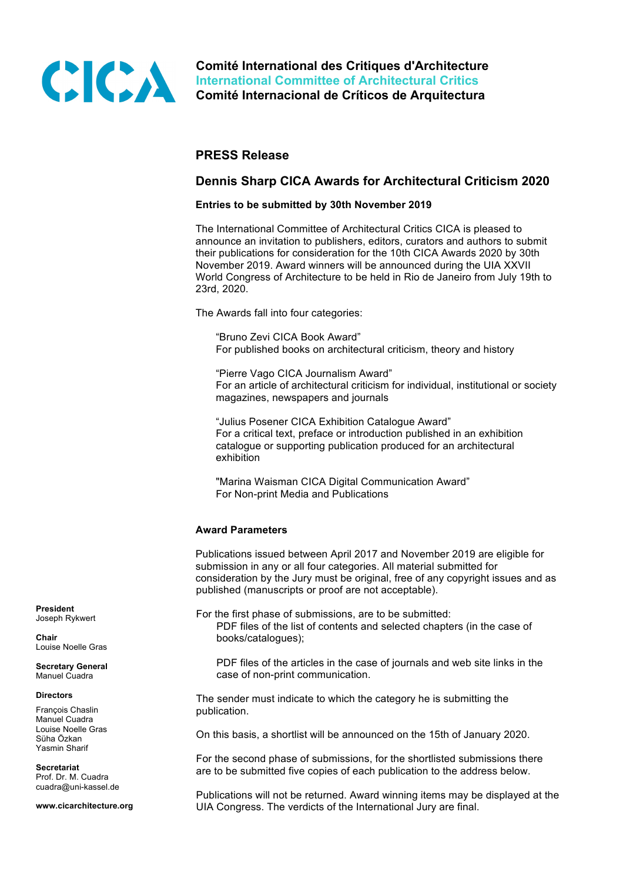

**Comité International des Critiques d'Architecture International Committee of Architectural Critics Comité Internacional de Críticos de Arquitectura**

# **PRESS Release**

# **Dennis Sharp CICA Awards for Architectural Criticism 2020**

# **Entries to be submitted by 30th November 2019**

 The International Committee of Architectural Critics CICA is pleased to announce an invitation to publishers, editors, curators and authors to submit their publications for consideration for the 10th CICA Awards 2020 by 30th November 2019. Award winners will be announced during the UIA XXVII World Congress of Architecture to be held in Rio de Janeiro from July 19th to 23rd, 2020.

The Awards fall into four categories:

"Bruno Zevi CICA Book Award" For published books on architectural criticism, theory and history

"Pierre Vago CICA Journalism Award" For an article of architectural criticism for individual, institutional or society magazines, newspapers and journals

"Julius Posener CICA Exhibition Catalogue Award" For a critical text, preface or introduction published in an exhibition catalogue or supporting publication produced for an architectural exhibition

"Marina Waisman CICA Digital Communication Award" For Non-print Media and Publications

# **Award Parameters**

 Publications issued between April 2017 and November 2019 are eligible for submission in any or all four categories. All material submitted for consideration by the Jury must be original, free of any copyright issues and as published (manuscripts or proof are not acceptable).

 For the first phase of submissions, are to be submitted: PDF files of the list of contents and selected chapters (in the case of books/catalogues);

 PDF files of the articles in the case of journals and web site links in the case of non-print communication.

 The sender must indicate to which the category he is submitting the publication.

On this basis, a shortlist will be announced on the 15th of January 2020.

 For the second phase of submissions, for the shortlisted submissions there are to be submitted five copies of each publication to the address below.

 Publications will not be returned. Award winning items may be displayed at the UIA Congress. The verdicts of the International Jury are final.

**President** Joseph Rykwert

**Chair** Louise Noelle Gras

**Secretary General** Manuel Cuadra

#### **Directors**

François Chaslin Manuel Cuadra Louise Noelle Gras Süha Özkan Yasmin Sharif

**Secretariat** Prof. Dr. M. Cuadra cuadra@uni-kassel.de

**www.cicarchitecture.org**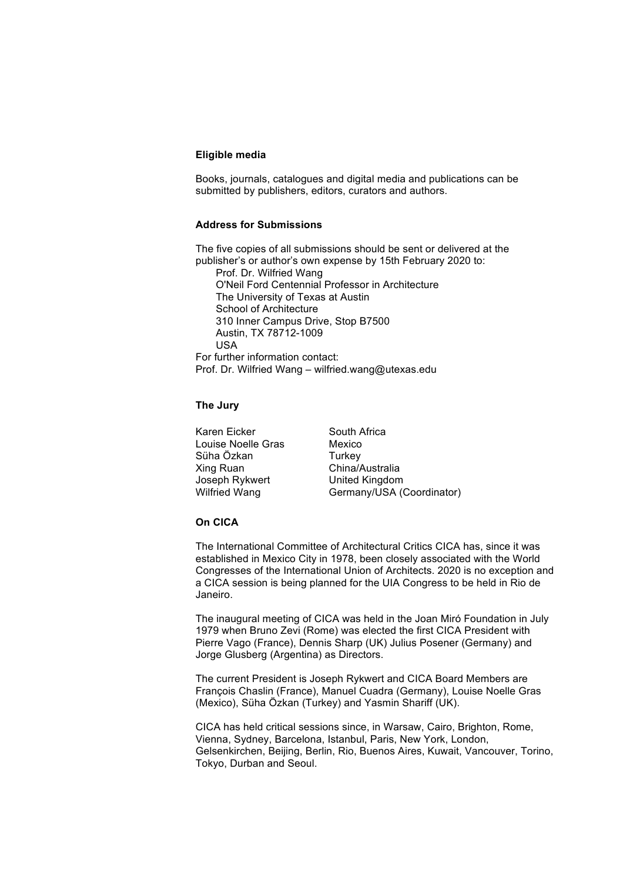### **Eligible media**

 Books, journals, catalogues and digital media and publications can be submitted by publishers, editors, curators and authors.

# **Address for Submissions**

 The five copies of all submissions should be sent or delivered at the publisher's or author's own expense by 15th February 2020 to:

Prof. Dr. Wilfried Wang O'Neil Ford Centennial Professor in Architecture The University of Texas at Austin School of Architecture 310 Inner Campus Drive, Stop B7500 Austin, TX 78712-1009 USA

 For further information contact: Prof. Dr. Wilfried Wang – wilfried.wang@utexas.edu

### **The Jury**

Karen Eicker South Africa Louise Noelle Gras Mexico Süha Özkan Turkey Xing Ruan China/Australia Joseph Rykwert United Kingdom

Wilfried Wang Germany/USA (Coordinator)

# **On CICA**

 The International Committee of Architectural Critics CICA has, since it was established in Mexico City in 1978, been closely associated with the World Congresses of the International Union of Architects. 2020 is no exception and a CICA session is being planned for the UIA Congress to be held in Rio de Janeiro.

 The inaugural meeting of CICA was held in the Joan Miró Foundation in July 1979 when Bruno Zevi (Rome) was elected the first CICA President with Pierre Vago (France), Dennis Sharp (UK) Julius Posener (Germany) and Jorge Glusberg (Argentina) as Directors.

 The current President is Joseph Rykwert and CICA Board Members are François Chaslin (France), Manuel Cuadra (Germany), Louise Noelle Gras (Mexico), Süha Özkan (Turkey) and Yasmin Shariff (UK).

 CICA has held critical sessions since, in Warsaw, Cairo, Brighton, Rome, Vienna, Sydney, Barcelona, Istanbul, Paris, New York, London, Gelsenkirchen, Beijing, Berlin, Rio, Buenos Aires, Kuwait, Vancouver, Torino, Tokyo, Durban and Seoul.